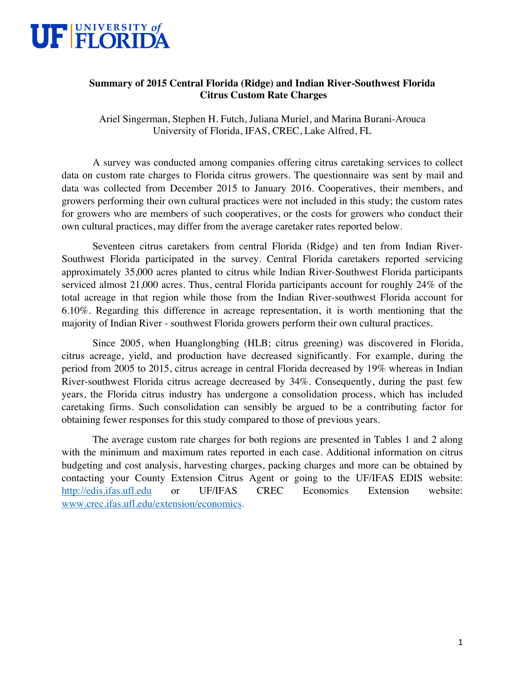

## **Summary of 2015 Central Florida (Ridge) and Indian River-Southwest Florida Citrus Custom Rate Charges**

Ariel Singerman, Stephen H. Futch, Juliana Muriel, and Marina Burani-Arouca University of Florida, IFAS, CREC, Lake Alfred, FL

A survey was conducted among companies offering citrus caretaking services to collect data on custom rate charges to Florida citrus growers. The questionnaire was sent by mail and data was collected from December 2015 to January 2016. Cooperatives, their members, and growers performing their own cultural practices were not included in this study; the custom rates for growers who are members of such cooperatives, or the costs for growers who conduct their own cultural practices, may differ from the average caretaker rates reported below.

Seventeen citrus caretakers from central Florida (Ridge) and ten from Indian River-Southwest Florida participated in the survey. Central Florida caretakers reported servicing approximately 35,000 acres planted to citrus while Indian River-Southwest Florida participants serviced almost 21,000 acres. Thus, central Florida participants account for roughly 24% of the total acreage in that region while those from the Indian River-southwest Florida account for 6.10%. Regarding this difference in acreage representation, it is worth mentioning that the majority of Indian River - southwest Florida growers perform their own cultural practices.

Since 2005, when Huanglongbing (HLB; citrus greening) was discovered in Florida, citrus acreage, yield, and production have decreased significantly. For example, during the period from 2005 to 2015, citrus acreage in central Florida decreased by 19% whereas in Indian River-southwest Florida citrus acreage decreased by 34%. Consequently, during the past few years, the Florida citrus industry has undergone a consolidation process, which has included caretaking firms. Such consolidation can sensibly be argued to be a contributing factor for obtaining fewer responses for this study compared to those of previous years.

The average custom rate charges for both regions are presented in Tables 1 and 2 along with the minimum and maximum rates reported in each case. Additional information on citrus budgeting and cost analysis, harvesting charges, packing charges and more can be obtained by contacting your County Extension Citrus Agent or going to the UF/IFAS EDIS website: http://edis.ifas.ufl.edu or UF/IFAS CREC Economics Extension website: www.crec.ifas.ufl.edu/extension/economics.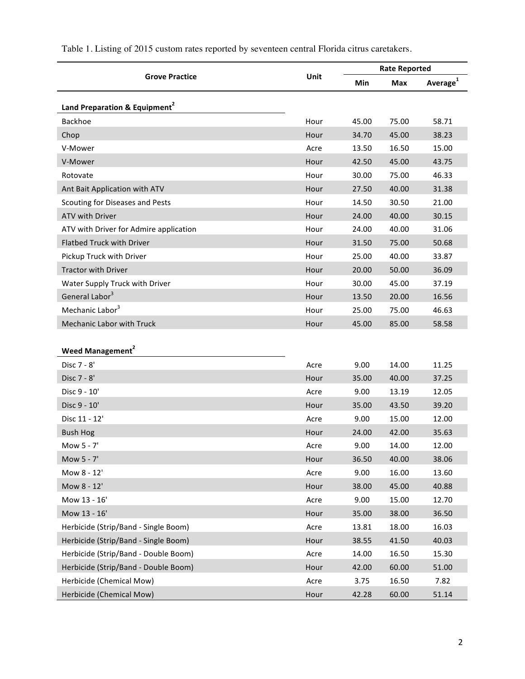| Unit<br><b>Grove Practice</b>             |      | <b>Rate Reported</b> |       |                      |  |
|-------------------------------------------|------|----------------------|-------|----------------------|--|
|                                           |      | Min                  | Max   | Average <sup>1</sup> |  |
| Land Preparation & Equipment <sup>2</sup> |      |                      |       |                      |  |
| Backhoe                                   | Hour | 45.00                | 75.00 | 58.71                |  |
| Chop                                      | Hour | 34.70                | 45.00 | 38.23                |  |
| V-Mower                                   | Acre | 13.50                | 16.50 | 15.00                |  |
| V-Mower                                   | Hour | 42.50                | 45.00 | 43.75                |  |
| Rotovate                                  | Hour | 30.00                | 75.00 | 46.33                |  |
| Ant Bait Application with ATV             | Hour | 27.50                | 40.00 | 31.38                |  |
| Scouting for Diseases and Pests           | Hour | 14.50                | 30.50 | 21.00                |  |
| <b>ATV with Driver</b>                    | Hour | 24.00                | 40.00 | 30.15                |  |
| ATV with Driver for Admire application    | Hour | 24.00                | 40.00 | 31.06                |  |
| <b>Flatbed Truck with Driver</b>          | Hour | 31.50                | 75.00 | 50.68                |  |
| Pickup Truck with Driver                  | Hour | 25.00                | 40.00 | 33.87                |  |
| <b>Tractor with Driver</b>                | Hour | 20.00                | 50.00 | 36.09                |  |
| Water Supply Truck with Driver            | Hour | 30.00                | 45.00 | 37.19                |  |
| General Labor <sup>3</sup>                | Hour | 13.50                | 20.00 | 16.56                |  |
| Mechanic Labor <sup>3</sup>               | Hour | 25.00                | 75.00 | 46.63                |  |
| Mechanic Labor with Truck                 | Hour | 45.00                | 85.00 | 58.58                |  |
|                                           |      |                      |       |                      |  |
| <b>Weed Management<sup>2</sup></b>        |      |                      |       |                      |  |
| Disc 7 - 8'                               | Acre | 9.00                 | 14.00 | 11.25                |  |
| Disc 7 - 8'                               | Hour | 35.00                | 40.00 | 37.25                |  |
| Disc 9 - 10'                              | Acre | 9.00                 | 13.19 | 12.05                |  |
| Disc 9 - 10'                              | Hour | 35.00                | 43.50 | 39.20                |  |
| Disc 11 - 12'                             | Acre | 9.00                 | 15.00 | 12.00                |  |
| <b>Bush Hog</b>                           | Hour | 24.00                | 42.00 | 35.63                |  |
| Mow 5 - 7'                                | Acre | 9.00                 | 14.00 | 12.00                |  |
| Mow 5 - 7'                                | Hour | 36.50                | 40.00 | 38.06                |  |
| Mow 8 - 12'                               | Acre | 9.00                 | 16.00 | 13.60                |  |
| Mow 8 - 12'                               | Hour | 38.00                | 45.00 | 40.88                |  |
| Mow 13 - 16'                              | Acre | 9.00                 | 15.00 | 12.70                |  |
| Mow 13 - 16'                              | Hour | 35.00                | 38.00 | 36.50                |  |
| Herbicide (Strip/Band - Single Boom)      | Acre | 13.81                | 18.00 | 16.03                |  |
| Herbicide (Strip/Band - Single Boom)      | Hour | 38.55                | 41.50 | 40.03                |  |
| Herbicide (Strip/Band - Double Boom)      | Acre | 14.00                | 16.50 | 15.30                |  |
| Herbicide (Strip/Band - Double Boom)      | Hour | 42.00                | 60.00 | 51.00                |  |
| Herbicide (Chemical Mow)                  | Acre | 3.75                 | 16.50 | 7.82                 |  |
| Herbicide (Chemical Mow)                  | Hour | 42.28                | 60.00 | 51.14                |  |

Table 1. Listing of 2015 custom rates reported by seventeen central Florida citrus caretakers.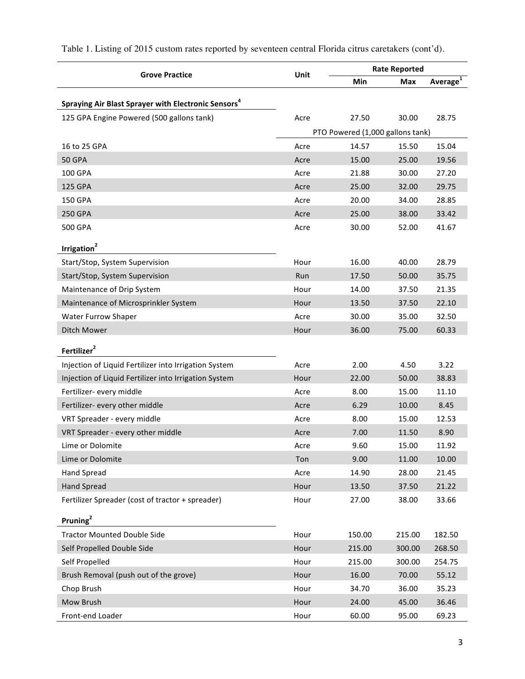| Unit<br><b>Grove Practice</b>                                   | <b>Rate Reported</b> |                                  |                      |        |
|-----------------------------------------------------------------|----------------------|----------------------------------|----------------------|--------|
|                                                                 | Min                  | Max                              | Average <sup>1</sup> |        |
| Spraying Air Blast Sprayer with Electronic Sensors <sup>4</sup> |                      |                                  |                      |        |
| 125 GPA Engine Powered (500 gallons tank)                       | Acre                 | 27.50                            | 30.00                | 28.75  |
|                                                                 |                      | PTO Powered (1,000 gallons tank) |                      |        |
| 16 to 25 GPA                                                    | Acre                 | 14.57                            | 15.50                | 15.04  |
| <b>50 GPA</b>                                                   | Acre                 | 15.00                            | 25.00                | 19.56  |
| <b>100 GPA</b>                                                  | Acre                 | 21.88                            | 30.00                | 27.20  |
| <b>125 GPA</b>                                                  | Acre                 | 25.00                            | 32.00                | 29.75  |
| <b>150 GPA</b>                                                  | Acre                 | 20.00                            | 34.00                | 28.85  |
| 250 GPA                                                         | Acre                 | 25.00                            | 38.00                | 33.42  |
| <b>500 GPA</b>                                                  | Acre                 | 30.00                            | 52.00                | 41.67  |
| Irrigation <sup>2</sup>                                         |                      |                                  |                      |        |
| Start/Stop, System Supervision                                  | Hour                 | 16.00                            | 40.00                | 28.79  |
| Start/Stop, System Supervision                                  | Run                  | 17.50                            | 50.00                | 35.75  |
| Maintenance of Drip System                                      | Hour                 | 14.00                            | 37.50                | 21.35  |
| Maintenance of Microsprinkler System                            | Hour                 | 13.50                            | 37.50                | 22.10  |
| Water Furrow Shaper                                             | Acre                 | 30.00                            | 35.00                | 32.50  |
| Ditch Mower                                                     | Hour                 | 36.00                            | 75.00                | 60.33  |
| Fertilizer <sup>2</sup>                                         |                      |                                  |                      |        |
| Injection of Liquid Fertilizer into Irrigation System           | Acre                 | 2.00                             | 4.50                 | 3.22   |
| Injection of Liquid Fertilizer into Irrigation System           | Hour                 | 22.00                            | 50.00                | 38.83  |
| Fertilizer- every middle                                        | Acre                 | 8.00                             | 15.00                | 11.10  |
| Fertilizer- every other middle                                  | Acre                 | 6.29                             | 10.00                | 8.45   |
| VRT Spreader - every middle                                     | Acre                 | 8.00                             | 15.00                | 12.53  |
| VRT Spreader - every other middle                               | Acre                 | 7.00                             | 11.50                | 8.90   |
| Lime or Dolomite                                                | Acre                 | 9.60                             | 15.00                | 11.92  |
| Lime or Dolomite                                                | Ton                  | 9.00                             | 11.00                | 10.00  |
| <b>Hand Spread</b>                                              | Acre                 | 14.90                            | 28.00                | 21.45  |
| <b>Hand Spread</b>                                              | Hour                 | 13.50                            | 37.50                | 21.22  |
| Fertilizer Spreader (cost of tractor + spreader)                | Hour                 | 27.00                            | 38.00                | 33.66  |
| Pruning <sup>2</sup>                                            |                      |                                  |                      |        |
| <b>Tractor Mounted Double Side</b>                              | Hour                 | 150.00                           | 215.00               | 182.50 |
| Self Propelled Double Side                                      | Hour                 | 215.00                           | 300.00               | 268.50 |
| Self Propelled                                                  | Hour                 | 215.00                           | 300.00               | 254.75 |
| Brush Removal (push out of the grove)                           | Hour                 | 16.00                            | 70.00                | 55.12  |
| Chop Brush                                                      | Hour                 | 34.70                            | 36.00                | 35.23  |
| Mow Brush                                                       | Hour                 | 24.00                            | 45.00                | 36.46  |
| Front-end Loader                                                | Hour                 | 60.00                            | 95.00                | 69.23  |

Table 1. Listing of 2015 custom rates reported by seventeen central Florida citrus caretakers (cont'd).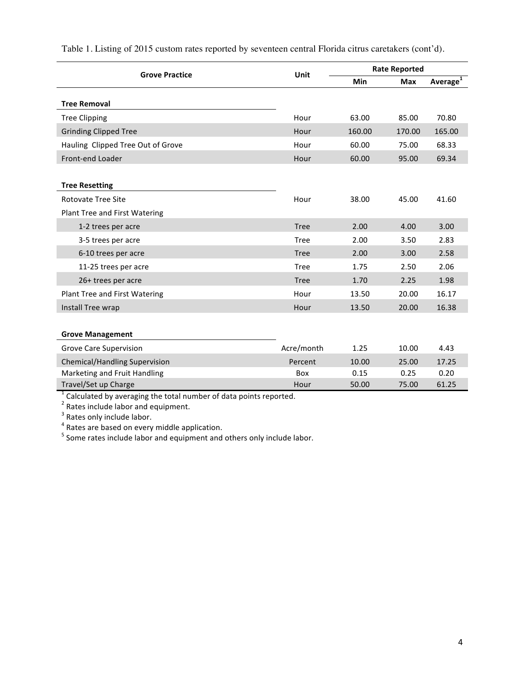| <b>Grove Practice</b>                                                                        | Unit        | <b>Rate Reported</b> |            |                      |
|----------------------------------------------------------------------------------------------|-------------|----------------------|------------|----------------------|
|                                                                                              |             | Min                  | <b>Max</b> | Average <sup>1</sup> |
| <b>Tree Removal</b>                                                                          |             |                      |            |                      |
| <b>Tree Clipping</b>                                                                         | Hour        | 63.00                | 85.00      | 70.80                |
| <b>Grinding Clipped Tree</b>                                                                 | Hour        | 160.00               | 170.00     | 165.00               |
| Hauling Clipped Tree Out of Grove                                                            | Hour        | 60.00                | 75.00      | 68.33                |
| Front-end Loader                                                                             | Hour        | 60.00                | 95.00      | 69.34                |
|                                                                                              |             |                      |            |                      |
| <b>Tree Resetting</b>                                                                        |             |                      |            |                      |
| <b>Rotovate Tree Site</b>                                                                    | Hour        | 38.00                | 45.00      | 41.60                |
| Plant Tree and First Watering                                                                |             |                      |            |                      |
| 1-2 trees per acre                                                                           | <b>Tree</b> | 2.00                 | 4.00       | 3.00                 |
| 3-5 trees per acre                                                                           | Tree        | 2.00                 | 3.50       | 2.83                 |
| 6-10 trees per acre                                                                          | <b>Tree</b> | 2.00                 | 3.00       | 2.58                 |
| 11-25 trees per acre                                                                         | Tree        | 1.75                 | 2.50       | 2.06                 |
| 26+ trees per acre                                                                           | <b>Tree</b> | 1.70                 | 2.25       | 1.98                 |
| Plant Tree and First Watering                                                                | Hour        | 13.50                | 20.00      | 16.17                |
| Install Tree wrap                                                                            | Hour        | 13.50                | 20.00      | 16.38                |
|                                                                                              |             |                      |            |                      |
| <b>Grove Management</b>                                                                      |             |                      |            |                      |
| <b>Grove Care Supervision</b>                                                                | Acre/month  | 1.25                 | 10.00      | 4.43                 |
| <b>Chemical/Handling Supervision</b>                                                         | Percent     | 10.00                | 25.00      | 17.25                |
| Marketing and Fruit Handling                                                                 | Box         | 0.15                 | 0.25       | 0.20                 |
| Travel/Set up Charge<br>$1$ Calculated by averaging the total number of data points reported | Hour        | 50.00                | 75.00      | 61.25                |

Table 1. Listing of 2015 custom rates reported by seventeen central Florida citrus caretakers (cont'd).

 $^1$  Calculated by averaging the total number of data points reported.<br><sup>2</sup> Rates include labor and equipment.

 $3$  Rates only include labor.

 $4$  Rates are based on every middle application.

 $^5$  Some rates include labor and equipment and others only include labor.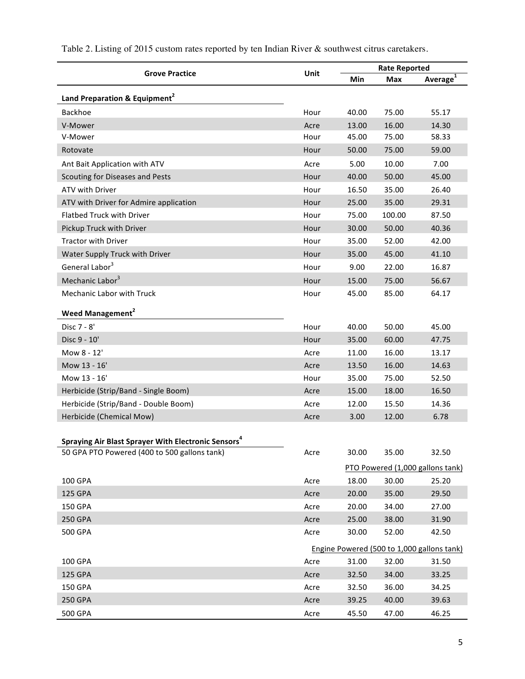| <b>Grove Practice</b>                                     | Unit |                                  | <b>Rate Reported</b> |                                            |  |  |
|-----------------------------------------------------------|------|----------------------------------|----------------------|--------------------------------------------|--|--|
|                                                           |      | Min                              | <b>Max</b>           | Average <sup>1</sup>                       |  |  |
| Land Preparation & Equipment <sup>2</sup>                 |      |                                  |                      |                                            |  |  |
| Backhoe                                                   | Hour | 40.00                            | 75.00                | 55.17                                      |  |  |
| V-Mower                                                   | Acre | 13.00                            | 16.00                | 14.30                                      |  |  |
| V-Mower                                                   | Hour | 45.00                            | 75.00                | 58.33                                      |  |  |
| Rotovate                                                  | Hour | 50.00                            | 75.00                | 59.00                                      |  |  |
| Ant Bait Application with ATV                             | Acre | 5.00                             | 10.00                | 7.00                                       |  |  |
| Scouting for Diseases and Pests                           | Hour | 40.00                            | 50.00                | 45.00                                      |  |  |
| ATV with Driver                                           | Hour | 16.50                            | 35.00                | 26.40                                      |  |  |
| ATV with Driver for Admire application                    | Hour | 25.00                            | 35.00                | 29.31                                      |  |  |
| <b>Flatbed Truck with Driver</b>                          | Hour | 75.00                            | 100.00               | 87.50                                      |  |  |
| Pickup Truck with Driver                                  | Hour | 30.00                            | 50.00                | 40.36                                      |  |  |
| <b>Tractor with Driver</b>                                | Hour | 35.00                            | 52.00                | 42.00                                      |  |  |
| Water Supply Truck with Driver                            | Hour | 35.00                            | 45.00                | 41.10                                      |  |  |
| General Labor <sup>3</sup>                                | Hour | 9.00                             | 22.00                | 16.87                                      |  |  |
| Mechanic Labor <sup>3</sup>                               | Hour | 15.00                            | 75.00                | 56.67                                      |  |  |
| Mechanic Labor with Truck                                 | Hour | 45.00                            | 85.00                | 64.17                                      |  |  |
| <b>Weed Management<sup>2</sup></b>                        |      |                                  |                      |                                            |  |  |
| Disc 7 - 8'                                               | Hour | 40.00                            | 50.00                | 45.00                                      |  |  |
| Disc 9 - 10'                                              | Hour | 35.00                            | 60.00                | 47.75                                      |  |  |
| Mow 8 - 12'                                               | Acre | 11.00                            | 16.00                | 13.17                                      |  |  |
| Mow 13 - 16'                                              | Acre | 13.50                            | 16.00                | 14.63                                      |  |  |
| Mow 13 - 16'                                              | Hour | 35.00                            | 75.00                | 52.50                                      |  |  |
| Herbicide (Strip/Band - Single Boom)                      | Acre | 15.00                            | 18.00                | 16.50                                      |  |  |
| Herbicide (Strip/Band - Double Boom)                      | Acre | 12.00                            | 15.50                | 14.36                                      |  |  |
| Herbicide (Chemical Mow)                                  | Acre | 3.00                             | 12.00                | 6.78                                       |  |  |
|                                                           |      |                                  |                      |                                            |  |  |
| <b>Spraying Air Blast Sprayer With Electronic Sensors</b> |      |                                  |                      |                                            |  |  |
| 50 GPA PTO Powered (400 to 500 gallons tank)              | Acre | 30.00                            | 35.00                | 32.50                                      |  |  |
|                                                           |      | PTO Powered (1,000 gallons tank) |                      |                                            |  |  |
| 100 GPA                                                   | Acre | 18.00                            | 30.00                | 25.20                                      |  |  |
| <b>125 GPA</b>                                            | Acre | 20.00                            | 35.00                | 29.50                                      |  |  |
| 150 GPA                                                   | Acre | 20.00                            | 34.00                | 27.00                                      |  |  |
| <b>250 GPA</b>                                            | Acre | 25.00                            | 38.00                | 31.90                                      |  |  |
| <b>500 GPA</b>                                            | Acre | 30.00                            | 52.00                | 42.50                                      |  |  |
|                                                           |      |                                  |                      | Engine Powered (500 to 1,000 gallons tank) |  |  |
| 100 GPA                                                   | Acre | 31.00                            | 32.00                | 31.50                                      |  |  |
| <b>125 GPA</b>                                            | Acre | 32.50                            | 34.00                | 33.25                                      |  |  |
| 150 GPA                                                   | Acre | 32.50                            | 36.00                | 34.25                                      |  |  |
| 250 GPA                                                   | Acre | 39.25                            | 40.00                | 39.63                                      |  |  |
| <b>500 GPA</b>                                            | Acre | 45.50                            | 47.00                | 46.25                                      |  |  |

Table 2. Listing of 2015 custom rates reported by ten Indian River & southwest citrus caretakers.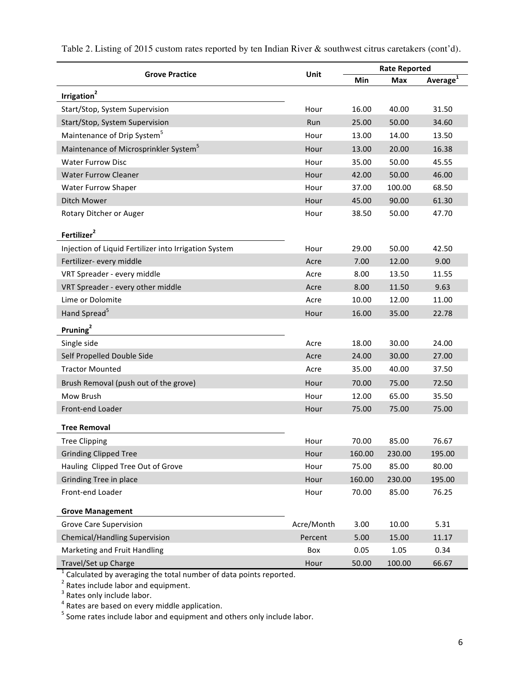| <b>Grove Practice</b><br>Unit                                                     |              | <b>Rate Reported</b> |                      |               |  |
|-----------------------------------------------------------------------------------|--------------|----------------------|----------------------|---------------|--|
|                                                                                   | Min          | Max                  | Average <sup>1</sup> |               |  |
| Irrigation <sup>2</sup>                                                           |              |                      |                      |               |  |
| Start/Stop, System Supervision                                                    | Hour         | 16.00                | 40.00                | 31.50         |  |
| Start/Stop, System Supervision                                                    | Run          | 25.00                | 50.00                | 34.60         |  |
| Maintenance of Drip System <sup>5</sup>                                           | Hour         | 13.00                | 14.00                | 13.50         |  |
| Maintenance of Microsprinkler System <sup>3</sup>                                 | Hour         | 13.00                | 20.00                | 16.38         |  |
| <b>Water Furrow Disc</b>                                                          | Hour         | 35.00                | 50.00                | 45.55         |  |
| <b>Water Furrow Cleaner</b>                                                       | Hour         | 42.00                | 50.00                | 46.00         |  |
| Water Furrow Shaper                                                               | Hour         | 37.00                | 100.00               | 68.50         |  |
| Ditch Mower                                                                       | Hour         | 45.00                | 90.00                | 61.30         |  |
| Rotary Ditcher or Auger                                                           | Hour         | 38.50                | 50.00                | 47.70         |  |
| Fertilizer <sup>2</sup>                                                           |              |                      |                      |               |  |
|                                                                                   |              | 29.00                |                      |               |  |
| Injection of Liquid Fertilizer into Irrigation System<br>Fertilizer- every middle | Hour<br>Acre | 7.00                 | 50.00<br>12.00       | 42.50<br>9.00 |  |
| VRT Spreader - every middle                                                       | Acre         | 8.00                 | 13.50                | 11.55         |  |
| VRT Spreader - every other middle                                                 | Acre         | 8.00                 | 11.50                | 9.63          |  |
| Lime or Dolomite                                                                  | Acre         | 10.00                | 12.00                | 11.00         |  |
| Hand Spread <sup>5</sup>                                                          |              |                      |                      |               |  |
|                                                                                   | Hour         | 16.00                | 35.00                | 22.78         |  |
| Pruning <sup>2</sup>                                                              |              |                      |                      |               |  |
| Single side                                                                       | Acre         | 18.00                | 30.00                | 24.00         |  |
| Self Propelled Double Side                                                        | Acre         | 24.00                | 30.00                | 27.00         |  |
| <b>Tractor Mounted</b>                                                            | Acre         | 35.00                | 40.00                | 37.50         |  |
| Brush Removal (push out of the grove)                                             | Hour         | 70.00                | 75.00                | 72.50         |  |
| <b>Mow Brush</b>                                                                  | Hour         | 12.00                | 65.00                | 35.50         |  |
| Front-end Loader                                                                  | Hour         | 75.00                | 75.00                | 75.00         |  |
| <b>Tree Removal</b>                                                               |              |                      |                      |               |  |
| <b>Tree Clipping</b>                                                              | Hour         | 70.00                | 85.00                | 76.67         |  |
| <b>Grinding Clipped Tree</b>                                                      | Hour         | 160.00               | 230.00               | 195.00        |  |
| Hauling Clipped Tree Out of Grove                                                 | Hour         | 75.00                | 85.00                | 80.00         |  |
| Grinding Tree in place                                                            | Hour         | 160.00               | 230.00               | 195.00        |  |
| Front-end Loader                                                                  | Hour         | 70.00                | 85.00                | 76.25         |  |
| <b>Grove Management</b>                                                           |              |                      |                      |               |  |
| <b>Grove Care Supervision</b>                                                     | Acre/Month   | 3.00                 | 10.00                | 5.31          |  |
| <b>Chemical/Handling Supervision</b>                                              | Percent      | 5.00                 | 15.00                | 11.17         |  |
| Marketing and Fruit Handling                                                      | Box          | 0.05                 | 1.05                 | 0.34          |  |
| Travel/Set up Charge                                                              | Hour         | 50.00                | 100.00               | 66.67         |  |

Table 2. Listing of 2015 custom rates reported by ten Indian River & southwest citrus caretakers (cont'd).

 $^1$  Calculated by averaging the total number of data points reported.

<sup>2</sup> Rates include labor and equipment.<br><sup>3</sup> Rates only include labor.

 $4$  Rates are based on every middle application.

 $^5$  Some rates include labor and equipment and others only include labor.